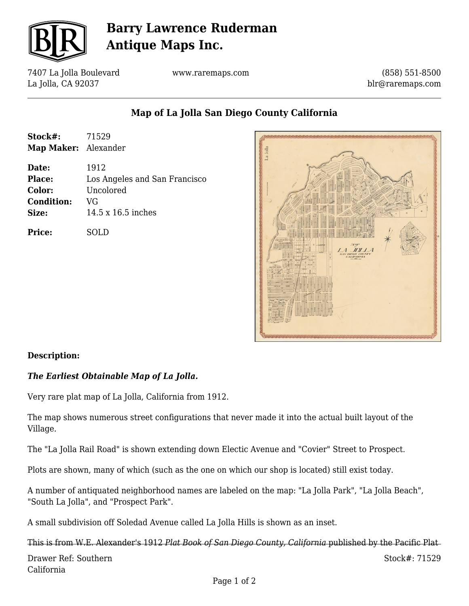

# **Barry Lawrence Ruderman Antique Maps Inc.**

7407 La Jolla Boulevard La Jolla, CA 92037

**Stock#:** 71529 **Map Maker:** Alexander

**Date:** 1912

**Condition:** VG

**Price:** SOLD

**Color:** Uncolored

**Size:** 14.5 x 16.5 inches

www.raremaps.com

(858) 551-8500 blr@raremaps.com

**Map of La Jolla San Diego County California**



#### **Description:**

### *The Earliest Obtainable Map of La Jolla.*

**Place:** Los Angeles and San Francisco

Very rare plat map of La Jolla, California from 1912.

The map shows numerous street configurations that never made it into the actual built layout of the Village.

The "La Jolla Rail Road" is shown extending down Electic Avenue and "Covier" Street to Prospect.

Plots are shown, many of which (such as the one on which our shop is located) still exist today.

A number of antiquated neighborhood names are labeled on the map: "La Jolla Park", "La Jolla Beach", "South La Jolla", and "Prospect Park".

A small subdivision off Soledad Avenue called La Jolla Hills is shown as an inset.

Drawer Ref: Southern California Stock#: 71529 This is from W.E. Alexander's 1912 *Plat Book of San Diego County, California* published by the Pacific Plat